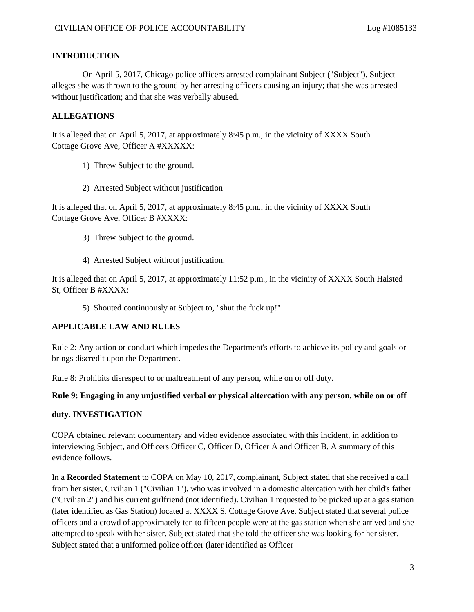## **INTRODUCTION**

On April 5, 2017, Chicago police officers arrested complainant Subject ("Subject"). Subject alleges she was thrown to the ground by her arresting officers causing an injury; that she was arrested without justification; and that she was verbally abused.

# **ALLEGATIONS**

It is alleged that on April 5, 2017, at approximately 8:45 p.m., in the vicinity of XXXX South Cottage Grove Ave, Officer A #XXXXX:

- 1) Threw Subject to the ground.
- 2) Arrested Subject without justification

It is alleged that on April 5, 2017, at approximately 8:45 p.m., in the vicinity of XXXX South Cottage Grove Ave, Officer B #XXXX:

- 3) Threw Subject to the ground.
- 4) Arrested Subject without justification.

It is alleged that on April 5, 2017, at approximately 11:52 p.m., in the vicinity of XXXX South Halsted St, Officer B #XXXX:

5) Shouted continuously at Subject to, "shut the fuck up!"

# **APPLICABLE LAW AND RULES**

Rule 2: Any action or conduct which impedes the Department's efforts to achieve its policy and goals or brings discredit upon the Department.

Rule 8: Prohibits disrespect to or maltreatment of any person, while on or off duty.

### **Rule 9: Engaging in any unjustified verbal or physical altercation with any person, while on or off**

### **duty. INVESTIGATION**

COPA obtained relevant documentary and video evidence associated with this incident, in addition to interviewing Subject, and Officers Officer C, Officer D, Officer A and Officer B. A summary of this evidence follows.

In a **Recorded Statement** to COPA on May 10, 2017, complainant, Subject stated that she received a call from her sister, Civilian 1 ("Civilian 1"), who was involved in a domestic altercation with her child's father ("Civilian 2") and his current girlfriend (not identified). Civilian 1 requested to be picked up at a gas station (later identified as Gas Station) located at XXXX S. Cottage Grove Ave. Subject stated that several police officers and a crowd of approximately ten to fifteen people were at the gas station when she arrived and she attempted to speak with her sister. Subject stated that she told the officer she was looking for her sister. Subject stated that a uniformed police officer (later identified as Officer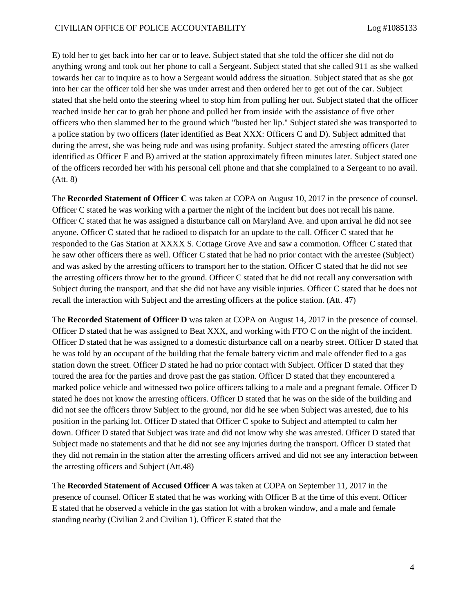E) told her to get back into her car or to leave. Subject stated that she told the officer she did not do anything wrong and took out her phone to call a Sergeant. Subject stated that she called 911 as she walked towards her car to inquire as to how a Sergeant would address the situation. Subject stated that as she got into her car the officer told her she was under arrest and then ordered her to get out of the car. Subject stated that she held onto the steering wheel to stop him from pulling her out. Subject stated that the officer reached inside her car to grab her phone and pulled her from inside with the assistance of five other officers who then slammed her to the ground which "busted her lip." Subject stated she was transported to a police station by two officers (later identified as Beat XXX: Officers C and D). Subject admitted that during the arrest, she was being rude and was using profanity. Subject stated the arresting officers (later identified as Officer E and B) arrived at the station approximately fifteen minutes later. Subject stated one of the officers recorded her with his personal cell phone and that she complained to a Sergeant to no avail. (Att. 8)

The **Recorded Statement of Officer C** was taken at COPA on August 10, 2017 in the presence of counsel. Officer C stated he was working with a partner the night of the incident but does not recall his name. Officer C stated that he was assigned a disturbance call on Maryland Ave. and upon arrival he did not see anyone. Officer C stated that he radioed to dispatch for an update to the call. Officer C stated that he responded to the Gas Station at XXXX S. Cottage Grove Ave and saw a commotion. Officer C stated that he saw other officers there as well. Officer C stated that he had no prior contact with the arrestee (Subject) and was asked by the arresting officers to transport her to the station. Officer C stated that he did not see the arresting officers throw her to the ground. Officer C stated that he did not recall any conversation with Subject during the transport, and that she did not have any visible injuries. Officer C stated that he does not recall the interaction with Subject and the arresting officers at the police station. (Att. 47)

The **Recorded Statement of Officer D** was taken at COPA on August 14, 2017 in the presence of counsel. Officer D stated that he was assigned to Beat XXX, and working with FTO C on the night of the incident. Officer D stated that he was assigned to a domestic disturbance call on a nearby street. Officer D stated that he was told by an occupant of the building that the female battery victim and male offender fled to a gas station down the street. Officer D stated he had no prior contact with Subject. Officer D stated that they toured the area for the parties and drove past the gas station. Officer D stated that they encountered a marked police vehicle and witnessed two police officers talking to a male and a pregnant female. Officer D stated he does not know the arresting officers. Officer D stated that he was on the side of the building and did not see the officers throw Subject to the ground, nor did he see when Subject was arrested, due to his position in the parking lot. Officer D stated that Officer C spoke to Subject and attempted to calm her down. Officer D stated that Subject was irate and did not know why she was arrested. Officer D stated that Subject made no statements and that he did not see any injuries during the transport. Officer D stated that they did not remain in the station after the arresting officers arrived and did not see any interaction between the arresting officers and Subject (Att.48)

The **Recorded Statement of Accused Officer A** was taken at COPA on September 11, 2017 in the presence of counsel. Officer E stated that he was working with Officer B at the time of this event. Officer E stated that he observed a vehicle in the gas station lot with a broken window, and a male and female standing nearby (Civilian 2 and Civilian 1). Officer E stated that the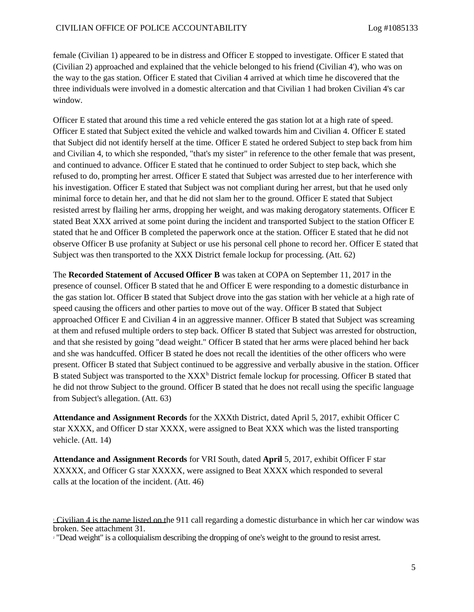female (Civilian 1) appeared to be in distress and Officer E stopped to investigate. Officer E stated that (Civilian 2) approached and explained that the vehicle belonged to his friend (Civilian 4'), who was on the way to the gas station. Officer E stated that Civilian 4 arrived at which time he discovered that the three individuals were involved in a domestic altercation and that Civilian 1 had broken Civilian 4's car window.

Officer E stated that around this time a red vehicle entered the gas station lot at a high rate of speed. Officer E stated that Subject exited the vehicle and walked towards him and Civilian 4. Officer E stated that Subject did not identify herself at the time. Officer E stated he ordered Subject to step back from him and Civilian 4, to which she responded, "that's my sister" in reference to the other female that was present, and continued to advance. Officer E stated that he continued to order Subject to step back, which she refused to do, prompting her arrest. Officer E stated that Subject was arrested due to her interference with his investigation. Officer E stated that Subject was not compliant during her arrest, but that he used only minimal force to detain her, and that he did not slam her to the ground. Officer E stated that Subject resisted arrest by flailing her arms, dropping her weight, and was making derogatory statements. Officer E stated Beat XXX arrived at some point during the incident and transported Subject to the station Officer E stated that he and Officer B completed the paperwork once at the station. Officer E stated that he did not observe Officer B use profanity at Subject or use his personal cell phone to record her. Officer E stated that Subject was then transported to the XXX District female lockup for processing. (Att. 62)

The **Recorded Statement of Accused Officer B** was taken at COPA on September 11, 2017 in the presence of counsel. Officer B stated that he and Officer E were responding to a domestic disturbance in the gas station lot. Officer B stated that Subject drove into the gas station with her vehicle at a high rate of speed causing the officers and other parties to move out of the way. Officer B stated that Subject approached Officer E and Civilian 4 in an aggressive manner. Officer B stated that Subject was screaming at them and refused multiple orders to step back. Officer B stated that Subject was arrested for obstruction, and that she resisted by going "dead weight." Officer B stated that her arms were placed behind her back and she was handcuffed. Officer B stated he does not recall the identities of the other officers who were present. Officer B stated that Subject continued to be aggressive and verbally abusive in the station. Officer B stated Subject was transported to the XXX<sup>h</sup> District female lockup for processing. Officer B stated that he did not throw Subject to the ground. Officer B stated that he does not recall using the specific language from Subject's allegation. (Att. 63)

**Attendance and Assignment Records** for the XXXth District, dated April 5, 2017, exhibit Officer C star XXXX, and Officer D star XXXX, were assigned to Beat XXX which was the listed transporting vehicle. (Att. 14)

**Attendance and Assignment Records** for VRI South, dated **April** 5, 2017, exhibit Officer F star XXXXX, and Officer G star XXXXX, were assigned to Beat XXXX which responded to several calls at the location of the incident. (Att. 46)

<sup>1</sup> Civilian 4 is the name listed on the 911 call regarding a domestic disturbance in which her car window was broken. See attachment 31.

<sup>2</sup> "Dead weight" is a colloquialism describing the dropping of one's weight to the ground to resist arrest.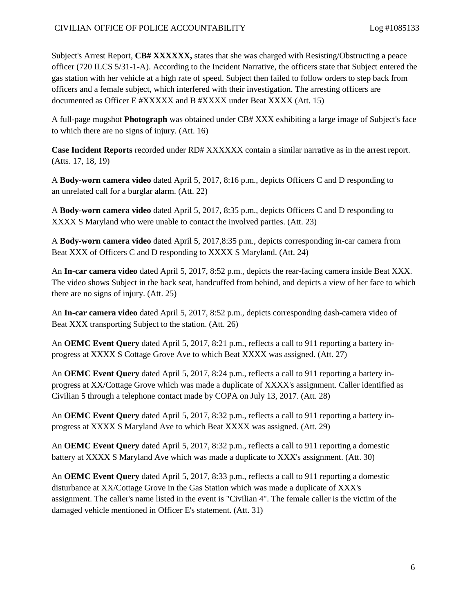Subject's Arrest Report, **CB# XXXXXX,** states that she was charged with Resisting/Obstructing a peace officer (720 ILCS 5/31-1-A). According to the Incident Narrative, the officers state that Subject entered the gas station with her vehicle at a high rate of speed. Subject then failed to follow orders to step back from officers and a female subject, which interfered with their investigation. The arresting officers are documented as Officer E #XXXXX and B #XXXX under Beat XXXX (Att. 15)

A full-page mugshot **Photograph** was obtained under CB# XXX exhibiting a large image of Subject's face to which there are no signs of injury. (Att. 16)

**Case Incident Reports** recorded under RD# XXXXXX contain a similar narrative as in the arrest report. (Atts. 17, 18, 19)

A **Body-worn camera video** dated April 5, 2017, 8:16 p.m., depicts Officers C and D responding to an unrelated call for a burglar alarm. (Att. 22)

A **Body-worn camera video** dated April 5, 2017, 8:35 p.m., depicts Officers C and D responding to XXXX S Maryland who were unable to contact the involved parties. (Att. 23)

A **Body-worn camera video** dated April 5, 2017,8:35 p.m., depicts corresponding in-car camera from Beat XXX of Officers C and D responding to XXXX S Maryland. (Att. 24)

An **In-car camera video** dated April 5, 2017, 8:52 p.m., depicts the rear-facing camera inside Beat XXX. The video shows Subject in the back seat, handcuffed from behind, and depicts a view of her face to which there are no signs of injury. (Att. 25)

An **In-car camera video** dated April 5, 2017, 8:52 p.m., depicts corresponding dash-camera video of Beat XXX transporting Subject to the station. (Att. 26)

An **OEMC Event Query** dated April 5, 2017, 8:21 p.m., reflects a call to 911 reporting a battery inprogress at XXXX S Cottage Grove Ave to which Beat XXXX was assigned. (Att. 27)

An **OEMC Event Query** dated April 5, 2017, 8:24 p.m., reflects a call to 911 reporting a battery inprogress at XX/Cottage Grove which was made a duplicate of XXXX's assignment. Caller identified as Civilian 5 through a telephone contact made by COPA on July 13, 2017. (Att. 28)

An **OEMC Event Query** dated April 5, 2017, 8:32 p.m., reflects a call to 911 reporting a battery inprogress at XXXX S Maryland Ave to which Beat XXXX was assigned. (Att. 29)

An **OEMC Event Query** dated April 5, 2017, 8:32 p.m., reflects a call to 911 reporting a domestic battery at XXXX S Maryland Ave which was made a duplicate to XXX's assignment. (Att. 30)

An **OEMC Event Query** dated April 5, 2017, 8:33 p.m., reflects a call to 911 reporting a domestic disturbance at XX/Cottage Grove in the Gas Station which was made a duplicate of XXX's assignment. The caller's name listed in the event is "Civilian 4". The female caller is the victim of the damaged vehicle mentioned in Officer E's statement. (Att. 31)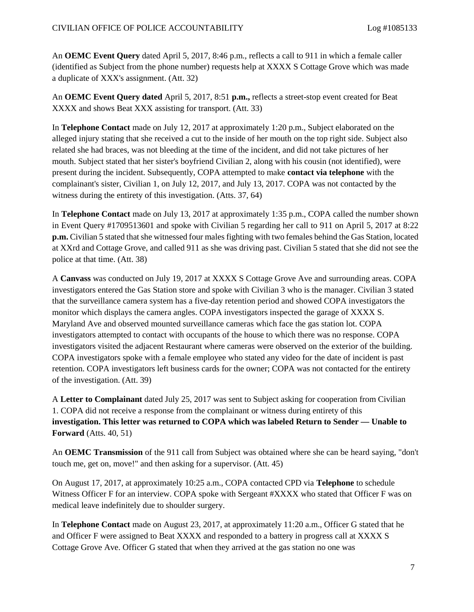An **OEMC Event Query** dated April 5, 2017, 8:46 p.m., reflects a call to 911 in which a female caller (identified as Subject from the phone number) requests help at XXXX S Cottage Grove which was made a duplicate of XXX's assignment. (Att. 32)

An **OEMC Event Query dated** April 5, 2017, 8:51 **p.m.,** reflects a street-stop event created for Beat XXXX and shows Beat XXX assisting for transport. (Att. 33)

In **Telephone Contact** made on July 12, 2017 at approximately 1:20 p.m., Subject elaborated on the alleged injury stating that she received a cut to the inside of her mouth on the top right side. Subject also related she had braces, was not bleeding at the time of the incident, and did not take pictures of her mouth. Subject stated that her sister's boyfriend Civilian 2, along with his cousin (not identified), were present during the incident. Subsequently, COPA attempted to make **contact via telephone** with the complainant's sister, Civilian 1, on July 12, 2017, and July 13, 2017. COPA was not contacted by the witness during the entirety of this investigation. (Atts. 37, 64)

In **Telephone Contact** made on July 13, 2017 at approximately 1:35 p.m., COPA called the number shown in Event Query #1709513601 and spoke with Civilian 5 regarding her call to 911 on April 5, 2017 at 8:22 **p.m.** Civilian 5 stated that she witnessed four males fighting with two females behind the Gas Station, located at XXrd and Cottage Grove, and called 911 as she was driving past. Civilian 5 stated that she did not see the police at that time. (Att. 38)

A **Canvass** was conducted on July 19, 2017 at XXXX S Cottage Grove Ave and surrounding areas. COPA investigators entered the Gas Station store and spoke with Civilian 3 who is the manager. Civilian 3 stated that the surveillance camera system has a five-day retention period and showed COPA investigators the monitor which displays the camera angles. COPA investigators inspected the garage of XXXX S. Maryland Ave and observed mounted surveillance cameras which face the gas station lot. COPA investigators attempted to contact with occupants of the house to which there was no response. COPA investigators visited the adjacent Restaurant where cameras were observed on the exterior of the building. COPA investigators spoke with a female employee who stated any video for the date of incident is past retention. COPA investigators left business cards for the owner; COPA was not contacted for the entirety of the investigation. (Att. 39)

A **Letter to Complainant** dated July 25, 2017 was sent to Subject asking for cooperation from Civilian 1. COPA did not receive a response from the complainant or witness during entirety of this **investigation. This letter was returned to COPA which was labeled Return to Sender — Unable to Forward** (Atts. 40, 51)

An **OEMC Transmission** of the 911 call from Subject was obtained where she can be heard saying, "don't touch me, get on, move!" and then asking for a supervisor. (Att. 45)

On August 17, 2017, at approximately 10:25 a.m., COPA contacted CPD via **Telephone** to schedule Witness Officer F for an interview. COPA spoke with Sergeant #XXXX who stated that Officer F was on medical leave indefinitely due to shoulder surgery.

In **Telephone Contact** made on August 23, 2017, at approximately 11:20 a.m., Officer G stated that he and Officer F were assigned to Beat XXXX and responded to a battery in progress call at XXXX S Cottage Grove Ave. Officer G stated that when they arrived at the gas station no one was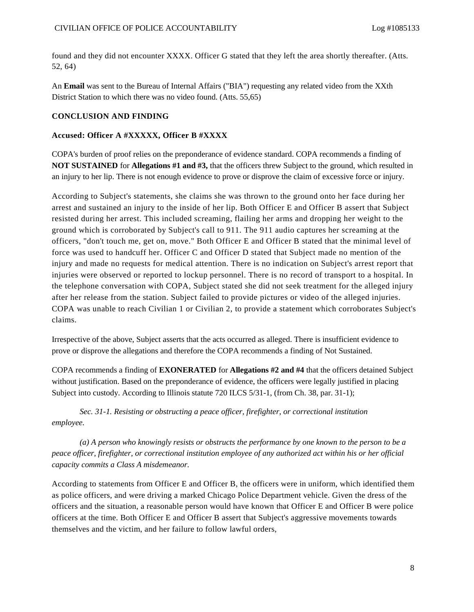found and they did not encounter XXXX. Officer G stated that they left the area shortly thereafter. (Atts. 52, 64)

An **Email** was sent to the Bureau of Internal Affairs ("BIA") requesting any related video from the XXth District Station to which there was no video found. (Atts. 55,65)

#### **CONCLUSION AND FINDING**

#### **Accused: Officer A #XXXXX, Officer B #XXXX**

COPA's burden of proof relies on the preponderance of evidence standard. COPA recommends a finding of **NOT SUSTAINED** for **Allegations #1 and #3,** that the officers threw Subject to the ground, which resulted in an injury to her lip. There is not enough evidence to prove or disprove the claim of excessive force or injury.

According to Subject's statements, she claims she was thrown to the ground onto her face during her arrest and sustained an injury to the inside of her lip. Both Officer E and Officer B assert that Subject resisted during her arrest. This included screaming, flailing her arms and dropping her weight to the ground which is corroborated by Subject's call to 911. The 911 audio captures her screaming at the officers, "don't touch me, get on, move." Both Officer E and Officer B stated that the minimal level of force was used to handcuff her. Officer C and Officer D stated that Subject made no mention of the injury and made no requests for medical attention. There is no indication on Subject's arrest report that injuries were observed or reported to lockup personnel. There is no record of transport to a hospital. In the telephone conversation with COPA, Subject stated she did not seek treatment for the alleged injury after her release from the station. Subject failed to provide pictures or video of the alleged injuries. COPA was unable to reach Civilian 1 or Civilian 2, to provide a statement which corroborates Subject's claims.

Irrespective of the above, Subject asserts that the acts occurred as alleged. There is insufficient evidence to prove or disprove the allegations and therefore the COPA recommends a finding of Not Sustained.

COPA recommends a finding of **EXONERATED** for **Allegations #2 and #4** that the officers detained Subject without justification. Based on the preponderance of evidence, the officers were legally justified in placing Subject into custody. According to Illinois statute 720 ILCS 5/31-1, (from Ch. 38, par. 31-1);

*Sec. 31-1. Resisting or obstructing a peace officer, firefighter, or correctional institution employee.*

*(a) A person who knowingly resists or obstructs the performance by one known to the person to be a peace officer, firefighter, or correctional institution employee of any authorized act within his or her official capacity commits a Class A misdemeanor.*

According to statements from Officer E and Officer B, the officers were in uniform, which identified them as police officers, and were driving a marked Chicago Police Department vehicle. Given the dress of the officers and the situation, a reasonable person would have known that Officer E and Officer B were police officers at the time. Both Officer E and Officer B assert that Subject's aggressive movements towards themselves and the victim, and her failure to follow lawful orders,